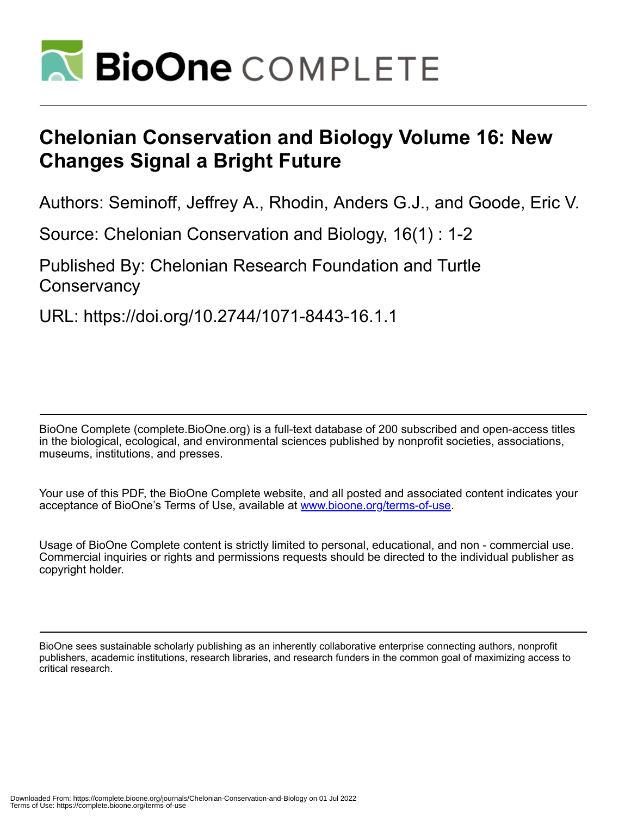

## **Chelonian Conservation and Biology Volume 16: New Changes Signal a Bright Future**

Authors: Seminoff, Jeffrey A., Rhodin, Anders G.J., and Goode, Eric V.

Source: Chelonian Conservation and Biology, 16(1) : 1-2

Published By: Chelonian Research Foundation and Turtle **Conservancy** 

URL: https://doi.org/10.2744/1071-8443-16.1.1

BioOne Complete (complete.BioOne.org) is a full-text database of 200 subscribed and open-access titles in the biological, ecological, and environmental sciences published by nonprofit societies, associations, museums, institutions, and presses.

Your use of this PDF, the BioOne Complete website, and all posted and associated content indicates your acceptance of BioOne's Terms of Use, available at www.bioone.org/terms-of-use.

Usage of BioOne Complete content is strictly limited to personal, educational, and non - commercial use. Commercial inquiries or rights and permissions requests should be directed to the individual publisher as copyright holder.

BioOne sees sustainable scholarly publishing as an inherently collaborative enterprise connecting authors, nonprofit publishers, academic institutions, research libraries, and research funders in the common goal of maximizing access to critical research.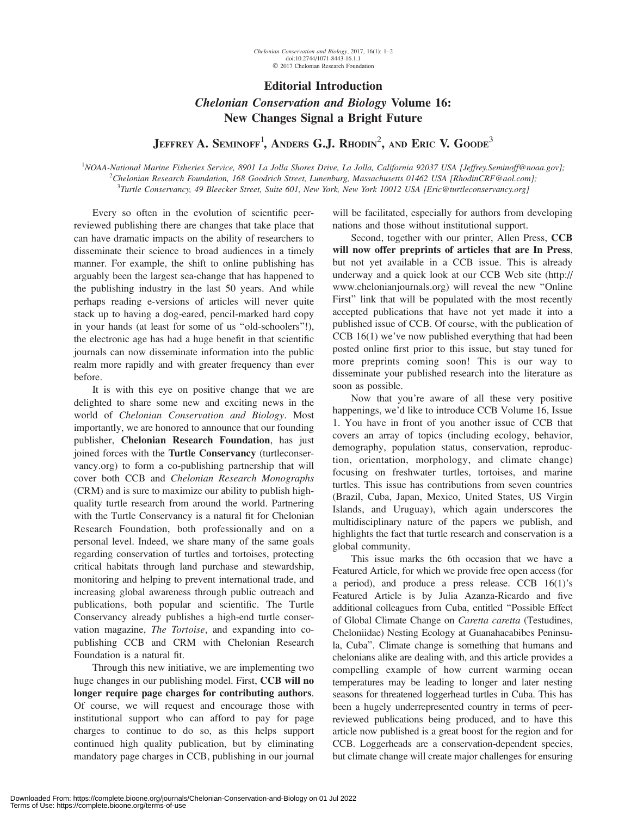## Editorial Introduction

## Chelonian Conservation and Biology Volume 16: New Changes Signal a Bright Future

Jeffrey A. Seminoff<sup>1</sup>, Anders G.J. Rhodin<sup>2</sup>, and Eric V. Goode<sup>3</sup>

<sup>1</sup>NOAA-National Marine Fisheries Service, 8901 La Jolla Shores Drive, La Jolla, California 92037 USA [Jeffrey.Seminoff@noaa.gov];<br><sup>2</sup>Chelonian Pesearch Foundation, 168 Goodrich Street Lungnburg, Massachusette 01462 USA [P <sup>2</sup>Chelonian Research Foundation, 168 Goodrich Street, Lunenburg, Massachusetts 01462 USA [RhodinCRF@aol.com]; <sup>3</sup>Turtle Conservancy, 49 Bleecker Street, Suite 601, New York, New York 10012 USA [Eric@turtleconservancy.org]

Every so often in the evolution of scientific peerreviewed publishing there are changes that take place that can have dramatic impacts on the ability of researchers to disseminate their science to broad audiences in a timely manner. For example, the shift to online publishing has arguably been the largest sea-change that has happened to the publishing industry in the last 50 years. And while perhaps reading e-versions of articles will never quite stack up to having a dog-eared, pencil-marked hard copy in your hands (at least for some of us ''old-schoolers''!), the electronic age has had a huge benefit in that scientific journals can now disseminate information into the public realm more rapidly and with greater frequency than ever before.

It is with this eye on positive change that we are delighted to share some new and exciting news in the world of Chelonian Conservation and Biology. Most importantly, we are honored to announce that our founding publisher, Chelonian Research Foundation, has just joined forces with the Turtle Conservancy (turtleconservancy.org) to form a co-publishing partnership that will cover both CCB and Chelonian Research Monographs (CRM) and is sure to maximize our ability to publish highquality turtle research from around the world. Partnering with the Turtle Conservancy is a natural fit for Chelonian Research Foundation, both professionally and on a personal level. Indeed, we share many of the same goals regarding conservation of turtles and tortoises, protecting critical habitats through land purchase and stewardship, monitoring and helping to prevent international trade, and increasing global awareness through public outreach and publications, both popular and scientific. The Turtle Conservancy already publishes a high-end turtle conservation magazine, The Tortoise, and expanding into copublishing CCB and CRM with Chelonian Research Foundation is a natural fit.

Through this new initiative, we are implementing two huge changes in our publishing model. First, CCB will no longer require page charges for contributing authors. Of course, we will request and encourage those with institutional support who can afford to pay for page charges to continue to do so, as this helps support continued high quality publication, but by eliminating mandatory page charges in CCB, publishing in our journal will be facilitated, especially for authors from developing nations and those without institutional support.

Second, together with our printer, Allen Press, CCB will now offer preprints of articles that are In Press, but not yet available in a CCB issue. This is already underway and a quick look at our CCB Web site (http:// www.chelonianjournals.org) will reveal the new ''Online First" link that will be populated with the most recently accepted publications that have not yet made it into a published issue of CCB. Of course, with the publication of CCB 16(1) we've now published everything that had been posted online first prior to this issue, but stay tuned for more preprints coming soon! This is our way to disseminate your published research into the literature as soon as possible.

Now that you're aware of all these very positive happenings, we'd like to introduce CCB Volume 16, Issue 1. You have in front of you another issue of CCB that covers an array of topics (including ecology, behavior, demography, population status, conservation, reproduction, orientation, morphology, and climate change) focusing on freshwater turtles, tortoises, and marine turtles. This issue has contributions from seven countries (Brazil, Cuba, Japan, Mexico, United States, US Virgin Islands, and Uruguay), which again underscores the multidisciplinary nature of the papers we publish, and highlights the fact that turtle research and conservation is a global community.

This issue marks the 6th occasion that we have a Featured Article, for which we provide free open access (for a period), and produce a press release. CCB 16(1)'s Featured Article is by Julia Azanza-Ricardo and five additional colleagues from Cuba, entitled ''Possible Effect of Global Climate Change on Caretta caretta (Testudines, Cheloniidae) Nesting Ecology at Guanahacabibes Peninsula, Cuba''. Climate change is something that humans and chelonians alike are dealing with, and this article provides a compelling example of how current warming ocean temperatures may be leading to longer and later nesting seasons for threatened loggerhead turtles in Cuba. This has been a hugely underrepresented country in terms of peerreviewed publications being produced, and to have this article now published is a great boost for the region and for CCB. Loggerheads are a conservation-dependent species, but climate change will create major challenges for ensuring